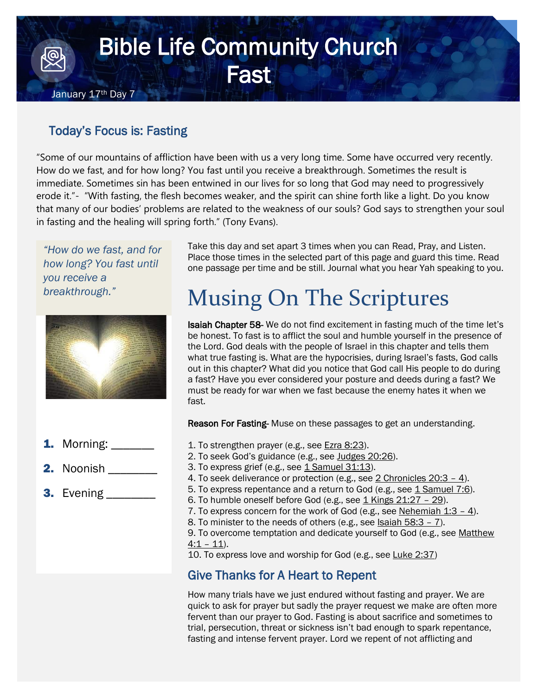## Bible Life Community Church **Fast** January 17<sup>th</sup> Day 7

## Today's Focus is: Fasting

"Some of our mountains of affliction have been with us a very long time. Some have occurred very recently. How do we fast, and for how long? You fast until you receive a breakthrough. Sometimes the result is immediate. Sometimes sin has been entwined in our lives for so long that God may need to progressively erode it."- "With fasting, the flesh becomes weaker, and the spirit can shine forth like a light. Do you know that many of our bodies' problems are related to the weakness of our souls? God says to strengthen your soul in fasting and the healing will spring forth." (Tony Evans).

*"How do we fast, and for how long? You fast until you receive a breakthrough."*



- **1.** Morning: \_\_\_\_\_\_\_
- 2. Noonish
- 3. Evening

Take this day and set apart 3 times when you can Read, Pray, and Listen. Place those times in the selected part of this page and guard this time. Read one passage per time and be still. Journal what you hear Yah speaking to you.

## Musing On The Scriptures

**Isaiah Chapter 58-** We do not find excitement in fasting much of the time let's be honest. To fast is to afflict the soul and humble yourself in the presence of the Lord. God deals with the people of Israel in this chapter and tells them what true fasting is. What are the hypocrisies, during Israel's fasts, God calls out in this chapter? What did you notice that God call His people to do during a fast? Have you ever considered your posture and deeds during a fast? We must be ready for war when we fast because the enemy hates it when we fast.

Reason For Fasting-Muse on these passages to get an understanding.

- 1. To strengthen prayer (e.g., see [Ezra 8:23\)](https://www.biblegateway.com/passage/?search=Ezra+8%3A23&version=NIV).
- 2. To seek God's guidance (e.g., see [Judges 20:26\)](https://www.biblegateway.com/passage/?search=Judges+20%3A26&version=NIV).
- 3. To express grief (e.g., see [1 Samuel 31:13\)](https://www.biblegateway.com/passage/?search=1+Samuel+31%3A13&version=NIV).
- 4. To seek deliverance or protection (e.g., see [2 Chronicles 20:3](https://www.biblegateway.com/passage/?search=2+Chronicles+20%3A3-4&version=NIV)  4).
- 5. To express repentance and a return to God (e.g., see [1 Samuel 7:6\)](https://www.biblegateway.com/passage/?search=1+Samuel+7%3A6&version=NIV).
- 6. To humble oneself before God (e.g., see  $1$  Kings  $21:27 29$ ).
- 7. To express concern for the work of God (e.g., see Nehemiah  $1:3 4$ ).
- 8. To minister to the needs of others (e.g., see Isaiah  $58:3 7$ ).

9. To overcome temptation and dedicate yourself to God (e.g., see Matthew  $4:1 - 11$  $4:1 - 11$ .

10. To express love and worship for God (e.g., see [Luke 2:37\)](https://www.biblegateway.com/passage/?search=Luke+2%3A37&version=NIV)

## Give Thanks for A Heart to Repent

How many trials have we just endured without fasting and prayer. We are quick to ask for prayer but sadly the prayer request we make are often more fervent than our prayer to God. Fasting is about sacrifice and sometimes to trial, persecution, threat or sickness isn't bad enough to spark repentance, fasting and intense fervent prayer. Lord we repent of not afflicting and